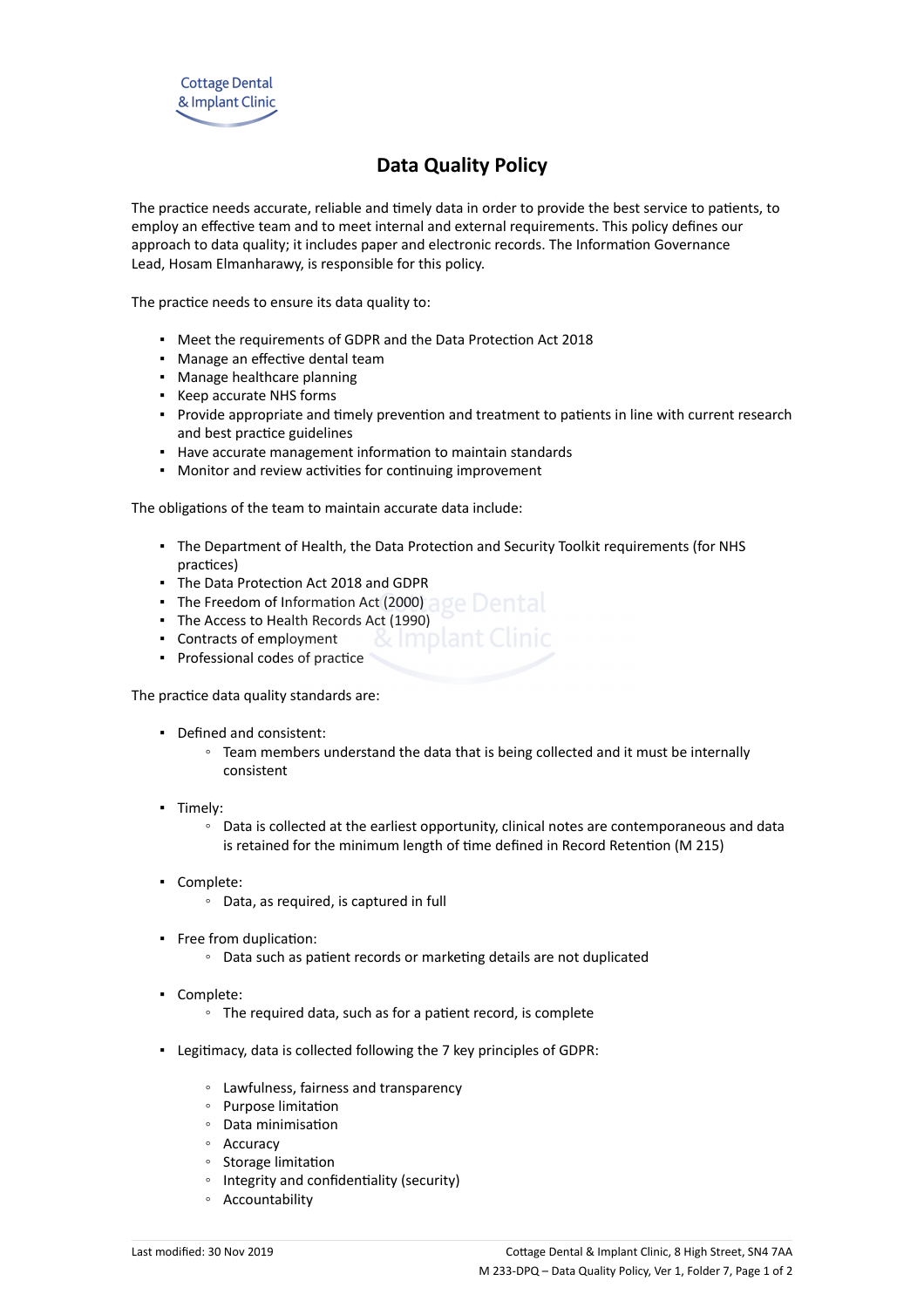# **Data Quality Policy**

The practice needs accurate, reliable and timely data in order to provide the best service to patients, to employ an effective team and to meet internal and external requirements. This policy defines our approach to data quality; it includes paper and electronic records. The Information Governance Lead, Hosam Elmanharawy, is responsible for this policy.

The practice needs to ensure its data quality to:

- Meet the requirements of GDPR and the Data Protection Act 2018
- Manage an effective dental team
- Manage healthcare planning
- Keep accurate NHS forms
- Provide appropriate and timely prevention and treatment to patients in line with current research and best practice guidelines
- Have accurate management information to maintain standards
- Monitor and review activities for continuing improvement

The obligations of the team to maintain accurate data include:

- The Department of Health, the Data Protection and Security Toolkit requirements (for NHS practices)
- The Data Protection Act 2018 and GDPR
- The Freedom of Information Act (2000) age Dental
- The Access to Health Records Act (1990)
- Contracts of employment **8** Result Clinic
- Professional codes of practice

The practice data quality standards are:

- Defined and consistent:
	- Team members understand the data that is being collected and it must be internally consistent
- Timely:
	- Data is collected at the earliest opportunity, clinical notes are contemporaneous and data is retained for the minimum length of time defined in Record Retention (M 215)
- Complete:
	- Data, as required, is captured in full
- Free from duplication:
	- Data such as patient records or marketing details are not duplicated
- Complete:
	- The required data, such as for a patient record, is complete
- Legitimacy, data is collected following the 7 key principles of GDPR:
	- Lawfulness, fairness and transparency
	- Purpose limitation
	- Data minimisation
	- Accuracy
	- Storage limitation
	- Integrity and confidentiality (security)
	- Accountability